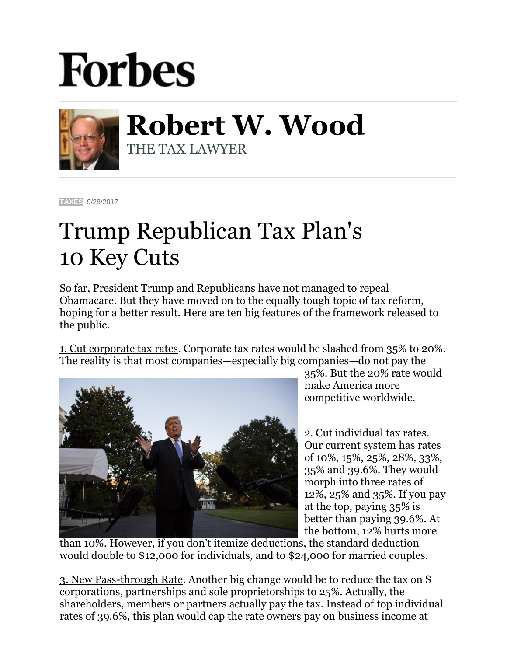## **Forbes**



**Robert W. Wood** THE TAX LAWYER

**[TAXES](https://www.forbes.com/taxes)** 9/28/2017

## Trump Republican Tax Plan's 10 Key Cuts

So far, President Trump and Republicans have not managed to repeal Obamacare. But they have moved on to the equally tough topic of tax reform, hoping for a better result. Here are ten big features of the framework released to the public.

1. Cut corporate tax rates. Corporate tax rates would be slashed from 35% to 20%. The reality is that most companies—especially big companies—do not pay the



35%. But the 20% rate would make America more competitive worldwide.

2. Cut individual tax rates. Our current system has rates of 10%, 15%, 25%, 28%, 33%, 35% and 39.6%. They would morph into three rates of 12%, 25% and 35%. If you pay at the top, paying 35% is better than paying 39.6%. At the bottom, 12% hurts more

than 10%. However, if you don't itemize deductions, the standard deduction would double to \$12,000 for individuals, and to \$24,000 for married couples.

3. New Pass-through Rate. Another big change would be to reduce the tax on S corporations, partnerships and sole proprietorships to 25%. Actually, the shareholders, members or partners actually pay the tax. Instead of top individual rates of 39.6%, this plan would cap the rate owners pay on business income at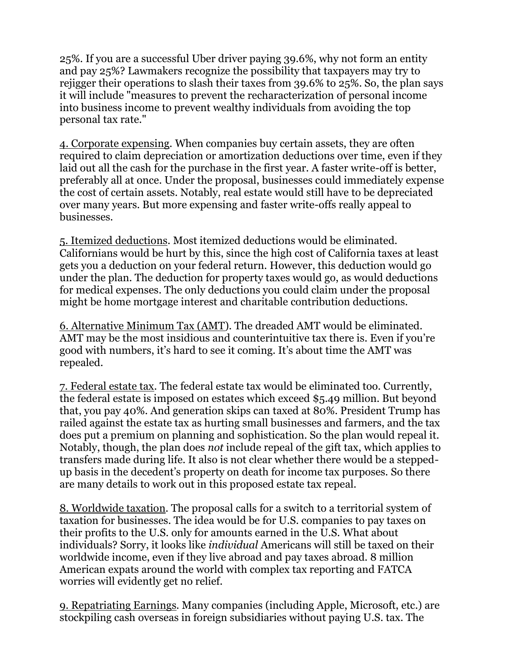25%. If you are a successful Uber driver paying 39.6%, why not form an entity and pay 25%? Lawmakers recognize the possibility that taxpayers may try to rejigger their operations to slash their taxes from 39.6% to 25%. So, the plan says it will include "measures to prevent the recharacterization of personal income into business income to prevent wealthy individuals from avoiding the top personal tax rate."

4. Corporate expensing*.* When companies buy certain assets, they are often required to claim depreciation or amortization deductions over time, even if they laid out all the cash for the purchase in the first year. A faster write-off is better, preferably all at once. Under the proposal, businesses could immediately expense the cost of certain assets. Notably, real estate would still have to be depreciated over many years. But more expensing and faster write-offs really appeal to businesses.

5. Itemized deductions. Most itemized deductions would be eliminated. Californians would be hurt by this, since the high cost of California taxes at least gets you a deduction on your federal return. However, this deduction would go under the plan. The deduction for property taxes would go, as would deductions for medical expenses. The only deductions you could claim under the proposal might be home mortgage interest and charitable contribution deductions.

6. Alternative Minimum Tax (AMT)*.* The dreaded AMT would be eliminated. AMT may be the most insidious and counterintuitive tax there is. Even if you're good with numbers, it's hard to see it coming. It's about time the AMT was repealed.

7. Federal estate tax. The federal estate tax would be eliminated too. Currently, the federal estate is imposed on estates which exceed \$5.49 million. But beyond that, you pay 40%. And generation skips can taxed at 80%. President Trump has railed against the estate tax as hurting small businesses and farmers, and the tax does put a premium on planning and sophistication. So the plan would repeal it. Notably, though, the plan does *not* include repeal of the gift tax, which applies to transfers made during life. It also is not clear whether there would be a steppedup basis in the decedent's property on death for income tax purposes. So there are many details to work out in this proposed estate tax repeal.

8. Worldwide taxation*.* The proposal calls for a switch to a territorial system of taxation for businesses. The idea would be for U.S. companies to pay taxes on their profits to the U.S. only for amounts earned in the U.S. What about individuals? Sorry, it looks like *individual* Americans will still be taxed on their worldwide income, even if they live abroad and pay taxes abroad. 8 million American expats around the world with complex tax reporting and FATCA worries will evidently get no relief.

9. Repatriating Earnings*.* Many companies (including Apple, Microsoft, etc.) are stockpiling cash overseas in foreign subsidiaries without paying U.S. tax. The